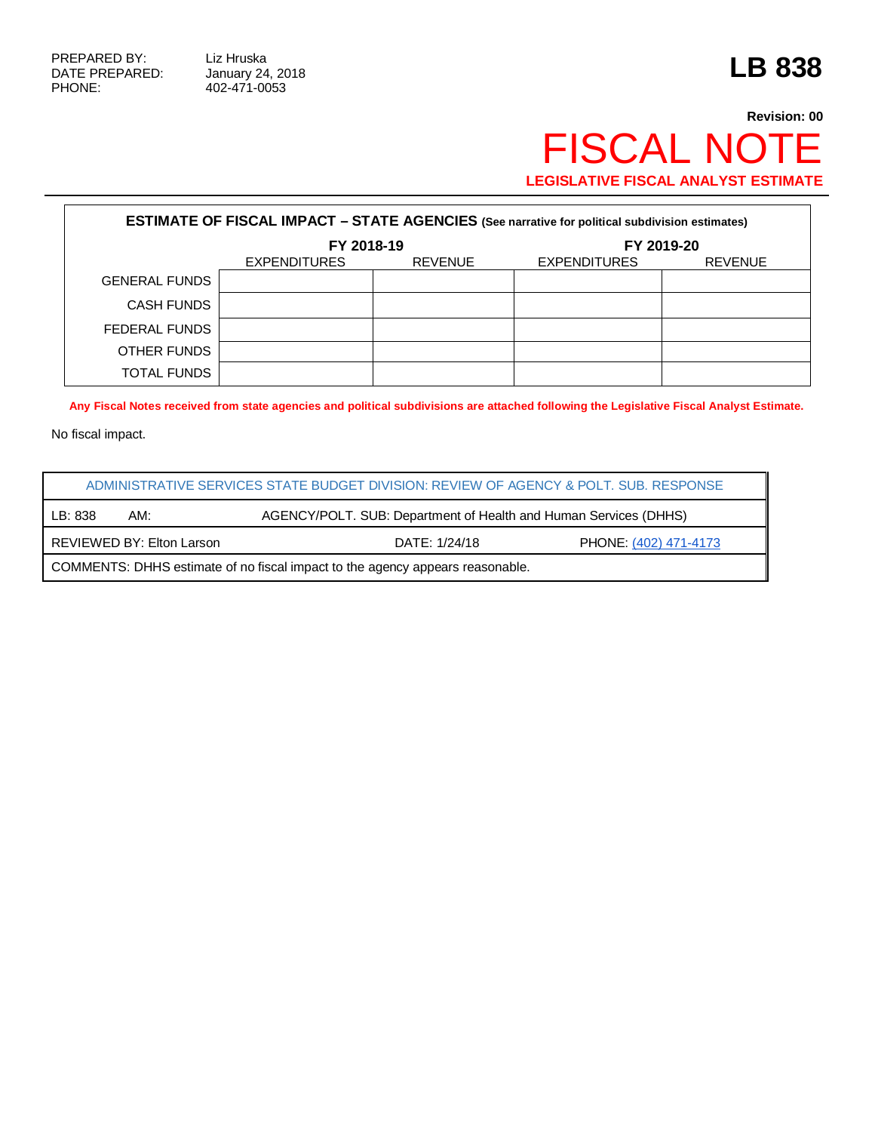PHONE: 402-471-0053

## **Revision: 00** FISCAL NOTE **LEGISLATIVE FISCAL ANALYST ESTIMATE**

| <b>ESTIMATE OF FISCAL IMPACT - STATE AGENCIES (See narrative for political subdivision estimates)</b> |                     |                |                     |                |  |  |  |  |
|-------------------------------------------------------------------------------------------------------|---------------------|----------------|---------------------|----------------|--|--|--|--|
|                                                                                                       | FY 2018-19          |                | FY 2019-20          |                |  |  |  |  |
|                                                                                                       | <b>EXPENDITURES</b> | <b>REVENUE</b> | <b>EXPENDITURES</b> | <b>REVENUE</b> |  |  |  |  |
| <b>GENERAL FUNDS</b>                                                                                  |                     |                |                     |                |  |  |  |  |
| <b>CASH FUNDS</b>                                                                                     |                     |                |                     |                |  |  |  |  |
| FEDERAL FUNDS                                                                                         |                     |                |                     |                |  |  |  |  |
| OTHER FUNDS                                                                                           |                     |                |                     |                |  |  |  |  |
| <b>TOTAL FUNDS</b>                                                                                    |                     |                |                     |                |  |  |  |  |

**Any Fiscal Notes received from state agencies and political subdivisions are attached following the Legislative Fiscal Analyst Estimate.**

No fiscal impact.

| ADMINISTRATIVE SERVICES STATE BUDGET DIVISION: REVIEW OF AGENCY & POLT. SUB. RESPONSE |                           |               |                       |  |  |  |
|---------------------------------------------------------------------------------------|---------------------------|---------------|-----------------------|--|--|--|
| LB: 838<br>AGENCY/POLT. SUB: Department of Health and Human Services (DHHS)<br>AM:    |                           |               |                       |  |  |  |
|                                                                                       | REVIEWED BY: Elton Larson | DATE: 1/24/18 | PHONE: (402) 471-4173 |  |  |  |
| COMMENTS: DHHS estimate of no fiscal impact to the agency appears reasonable.         |                           |               |                       |  |  |  |